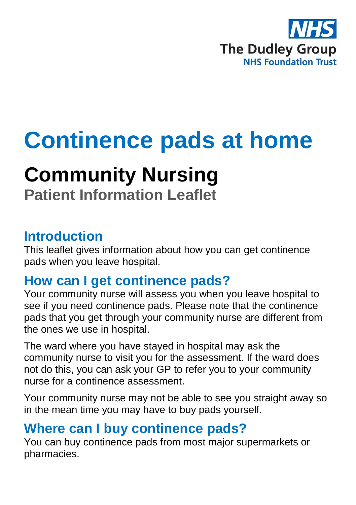

# **Continence pads at home**

## **Community Nursing**

**Patient Information Leaflet**

#### **Introduction**

This leaflet gives information about how you can get continence pads when you leave hospital.

## **How can I get continence pads?**

Your community nurse will assess you when you leave hospital to see if you need continence pads. Please note that the continence pads that you get through your community nurse are different from the ones we use in hospital.

The ward where you have stayed in hospital may ask the community nurse to visit you for the assessment. If the ward does not do this, you can ask your GP to refer you to your community nurse for a continence assessment.

Your community nurse may not be able to see you straight away so in the mean time you may have to buy pads yourself.

### **Where can I buy continence pads?**

You can buy continence pads from most major supermarkets or pharmacies.